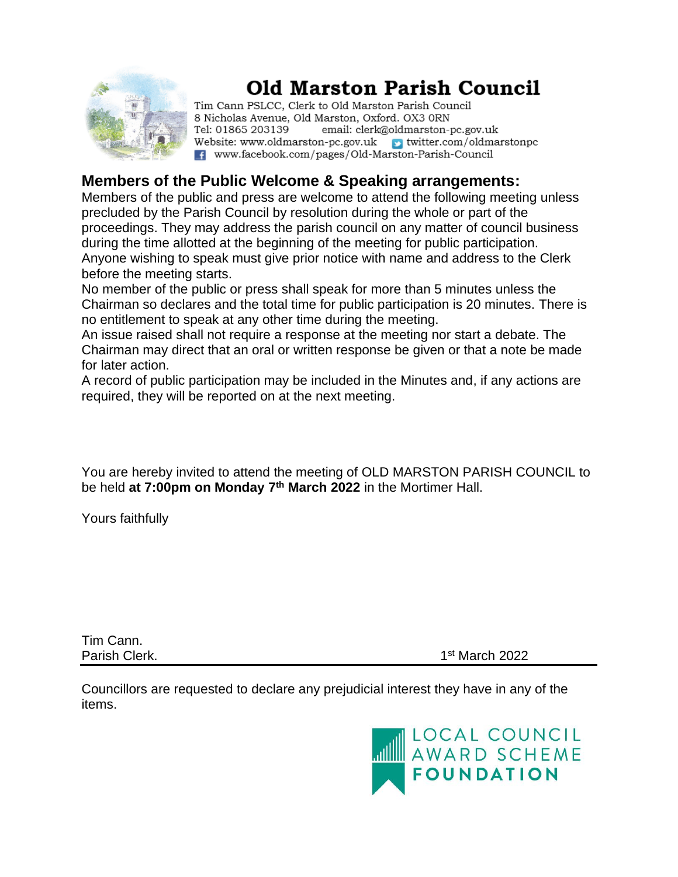

# **Old Marston Parish Council**

Tim Cann PSLCC, Clerk to Old Marston Parish Council 8 Nicholas Avenue, Old Marston, Oxford. OX3 ORN Tel: 01865 203139 email: clerk@oldmarston-pc.gov.uk Website: www.oldmarston-pc.gov.uk  $\rightarrow$  twitter.com/oldmarstonpc F. www.facebook.com/pages/Old-Marston-Parish-Council

## **Members of the Public Welcome & Speaking arrangements:**

Members of the public and press are welcome to attend the following meeting unless precluded by the Parish Council by resolution during the whole or part of the proceedings. They may address the parish council on any matter of council business during the time allotted at the beginning of the meeting for public participation. Anyone wishing to speak must give prior notice with name and address to the Clerk before the meeting starts.

No member of the public or press shall speak for more than 5 minutes unless the Chairman so declares and the total time for public participation is 20 minutes. There is no entitlement to speak at any other time during the meeting.

An issue raised shall not require a response at the meeting nor start a debate. The Chairman may direct that an oral or written response be given or that a note be made for later action.

A record of public participation may be included in the Minutes and, if any actions are required, they will be reported on at the next meeting.

You are hereby invited to attend the meeting of OLD MARSTON PARISH COUNCIL to be held **at 7:00pm on Monday 7 th March 2022** in the Mortimer Hall.

Yours faithfully

Tim Cann. Parish Clerk. 1

 $1<sup>st</sup>$  March 2022

Councillors are requested to declare any prejudicial interest they have in any of the items.

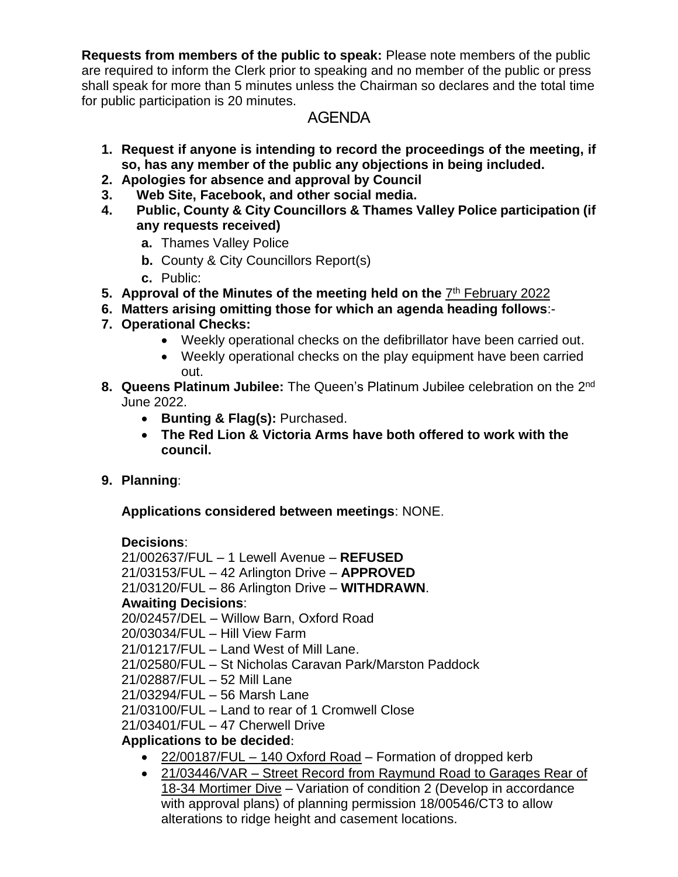**Requests from members of the public to speak:** Please note members of the public are required to inform the Clerk prior to speaking and no member of the public or press shall speak for more than 5 minutes unless the Chairman so declares and the total time for public participation is 20 minutes.

## AGENDA

- **1. Request if anyone is intending to record the proceedings of the meeting, if so, has any member of the public any objections in being included.**
- **2. Apologies for absence and approval by Council**
- **3. Web Site, Facebook, and other social media.**
- **4. Public, County & City Councillors & Thames Valley Police participation (if any requests received)**
	- **a.** Thames Valley Police
	- **b.** County & City Councillors Report(s)
	- **c.** Public:
- 5. Approval of the Minutes of the meeting held on the **7<sup>th</sup> [February](file:///E:/2022/March/MINUTES%20February%202022.docx) 2022**
- **6. Matters arising omitting those for which an agenda heading follows**:-
- **7. Operational Checks:**
	- Weekly operational checks on the defibrillator have been carried out.
	- Weekly operational checks on the play equipment have been carried out.
- 8. Queens Platinum Jubilee: The Queen's Platinum Jubilee celebration on the 2<sup>nd</sup> June 2022.
	- **Bunting & Flag(s):** Purchased.
	- **The Red Lion & Victoria Arms have both offered to work with the council.**
- **9. Planning**:

**Applications considered between meetings**: NONE.

#### **Decisions**:

21/002637/FUL – 1 Lewell Avenue – **REFUSED** 21/03153/FUL – 42 Arlington Drive – **APPROVED** 21/03120/FUL – 86 Arlington Drive – **WITHDRAWN**. **Awaiting Decisions**: 20/02457/DEL – Willow Barn, Oxford Road 20/03034/FUL – Hill View Farm 21/01217/FUL – Land West of Mill Lane. 21/02580/FUL – St Nicholas Caravan Park/Marston Paddock 21/02887/FUL – 52 Mill Lane 21/03294/FUL – 56 Marsh Lane 21/03100/FUL – Land to rear of 1 Cromwell Close 21/03401/FUL – 47 Cherwell Drive

#### **Applications to be decided**:

- 22/00187/FUL  $-$  [140 Oxford Road](file:///E:/2022/March/140%20Oxford%20Road%2022.docx) Formation of dropped kerb
- 21/03446/VAR Street Record from [Raymund Road to Garages Rear of](file:///E:/2022/March/Street%20Record%20from%20Raymund%20Road%20to%20Garages%20Rear%20of%2018.docx)  [18-34 Mortimer Dive](file:///E:/2022/March/Street%20Record%20from%20Raymund%20Road%20to%20Garages%20Rear%20of%2018.docx) – Variation of condition 2 (Develop in accordance with approval plans) of planning permission 18/00546/CT3 to allow alterations to ridge height and casement locations.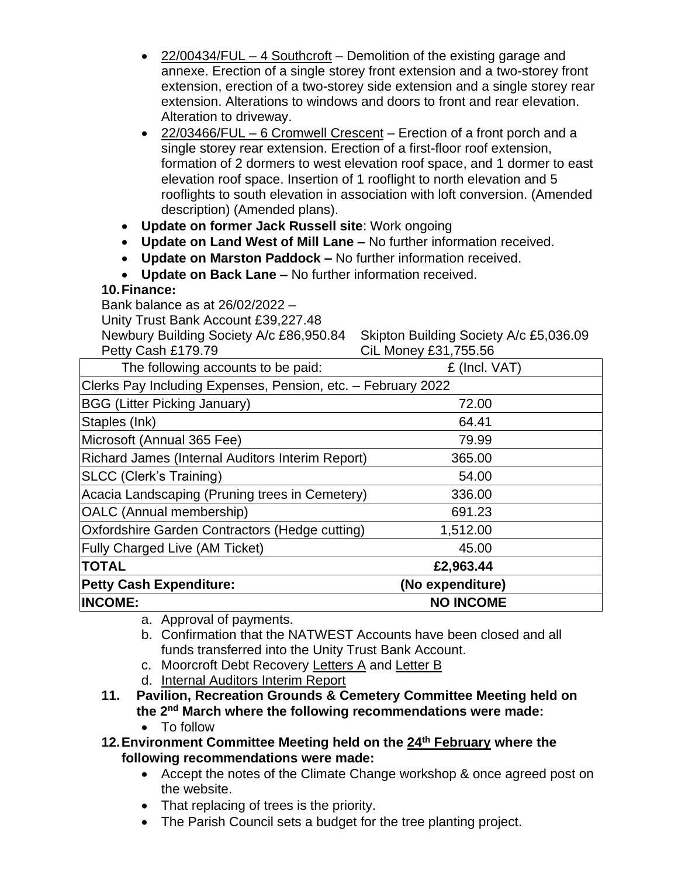|                                                                                                | $22/00434/FUL - 4$ Southcroft – Demolition of the existing garage and       |
|------------------------------------------------------------------------------------------------|-----------------------------------------------------------------------------|
|                                                                                                | annexe. Erection of a single storey front extension and a two-storey front  |
|                                                                                                | extension, erection of a two-storey side extension and a single storey rear |
|                                                                                                | extension. Alterations to windows and doors to front and rear elevation.    |
| Alteration to driveway.                                                                        |                                                                             |
|                                                                                                | 22/03466/FUL - 6 Cromwell Crescent - Erection of a front porch and a        |
| single storey rear extension. Erection of a first-floor roof extension,                        |                                                                             |
|                                                                                                | formation of 2 dormers to west elevation roof space, and 1 dormer to east   |
|                                                                                                | elevation roof space. Insertion of 1 rooflight to north elevation and 5     |
|                                                                                                | rooflights to south elevation in association with loft conversion. (Amended |
| description) (Amended plans).<br>Update on former Jack Russell site: Work ongoing<br>$\bullet$ |                                                                             |
| Update on Land West of Mill Lane - No further information received.<br>$\bullet$               |                                                                             |
| Update on Marston Paddock - No further information received.<br>$\bullet$                      |                                                                             |
| Update on Back Lane - No further information received.                                         |                                                                             |
| 10. Finance:                                                                                   |                                                                             |
| Bank balance as at 26/02/2022 -                                                                |                                                                             |
| Unity Trust Bank Account £39,227.48                                                            |                                                                             |
| Newbury Building Society A/c £86,950.84                                                        | Skipton Building Society A/c £5,036.09                                      |
| Petty Cash £179.79                                                                             | CiL Money £31,755.56                                                        |
| The following accounts to be paid:                                                             | £ (Incl. VAT)                                                               |
| Clerks Pay Including Expenses, Pension, etc. - February 2022                                   |                                                                             |
| <b>BGG (Litter Picking January)</b>                                                            | 72.00                                                                       |
| Staples (Ink)                                                                                  | 64.41                                                                       |
| Microsoft (Annual 365 Fee)                                                                     | 79.99                                                                       |
| Richard James (Internal Auditors Interim Report)                                               | 365.00                                                                      |
| <b>SLCC (Clerk's Training)</b>                                                                 | 54.00                                                                       |
| Acacia Landscaping (Pruning trees in Cemetery)                                                 | 336.00                                                                      |
| OALC (Annual membership)                                                                       | 691.23                                                                      |
| Oxfordshire Garden Contractors (Hedge cutting)                                                 | 1,512.00                                                                    |
| <b>Fully Charged Live (AM Ticket)</b>                                                          | 45.00                                                                       |
| <b>TOTAL</b>                                                                                   | £2,963.44                                                                   |
| <b>Petty Cash Expenditure:</b>                                                                 | (No expenditure)                                                            |
| <b>INCOME:</b>                                                                                 | <b>NO INCOME</b>                                                            |
| a. Approval of payments.                                                                       |                                                                             |

- b. Confirmation that the NATWEST Accounts have been closed and all funds transferred into the Unity Trust Bank Account.
- c. Moorcroft Debt Recovery [Letters](file:///E:/2022/March/Debt%20Collector.pdf) A and [Letter B](file:///E:/2022/March/Debt%20CollectorB.pdf)
- d. [Internal Auditors Interim Report](file:///E:/2022/March/Interim%20Report%202022.pdf)
- **11. Pavilion, Recreation Grounds & Cemetery Committee Meeting held on the 2nd March where the following recommendations were made:**
	- To follow
- **12.Environment Committee Meeting held on the 24th [February](file:///E:/2022/March/ENV%20February%202022.docx) where the following recommendations were made:**
	- Accept the notes of the Climate Change workshop & once agreed post on the website.
	- That replacing of trees is the priority.
	- The Parish Council sets a budget for the tree planting project.